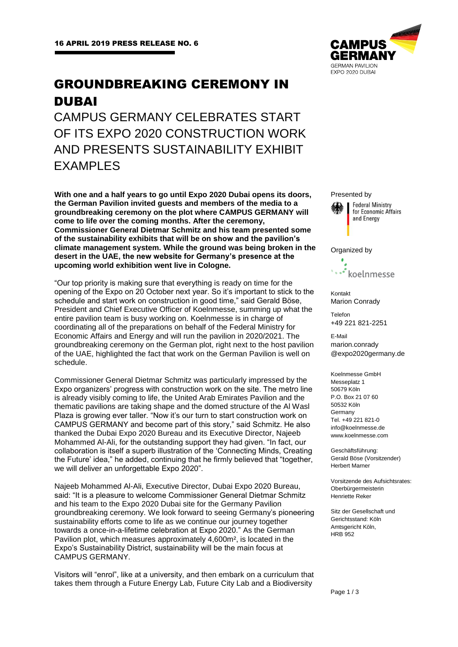# GROUNDBREAKING CEREMONY IN DUBAI

CAMPUS GERMANY CELEBRATES START OF ITS EXPO 2020 CONSTRUCTION WORK AND PRESENTS SUSTAINABILITY EXHIBIT **FXAMPLES** 

**With one and a half years to go until Expo 2020 Dubai opens its doors, the German Pavilion invited guests and members of the media to a groundbreaking ceremony on the plot where CAMPUS GERMANY will come to life over the coming months. After the ceremony, Commissioner General Dietmar Schmitz and his team presented some of the sustainability exhibits that will be on show and the pavilion's climate management system. While the ground was being broken in the desert in the UAE, the new website for Germany's presence at the upcoming world exhibition went live in Cologne.**

"Our top priority is making sure that everything is ready on time for the opening of the Expo on 20 October next year. So it's important to stick to the schedule and start work on construction in good time," said Gerald Böse, President and Chief Executive Officer of Koelnmesse, summing up what the entire pavilion team is busy working on. Koelnmesse is in charge of coordinating all of the preparations on behalf of the Federal Ministry for Economic Affairs and Energy and will run the pavilion in 2020/2021. The groundbreaking ceremony on the German plot, right next to the host pavilion of the UAE, highlighted the fact that work on the German Pavilion is well on schedule.

Commissioner General Dietmar Schmitz was particularly impressed by the Expo organizers' progress with construction work on the site. The metro line is already visibly coming to life, the United Arab Emirates Pavilion and the thematic pavilions are taking shape and the domed structure of the Al Wasl Plaza is growing ever taller. "Now it's our turn to start construction work on CAMPUS GERMANY and become part of this story," said Schmitz. He also thanked the Dubai Expo 2020 Bureau and its Executive Director, Najeeb Mohammed Al-Ali, for the outstanding support they had given. "In fact, our collaboration is itself a superb illustration of the 'Connecting Minds, Creating the Future' idea," he added, continuing that he firmly believed that "together, we will deliver an unforgettable Expo 2020".

Najeeb Mohammed Al-Ali, Executive Director, Dubai Expo 2020 Bureau, said: "It is a pleasure to welcome Commissioner General Dietmar Schmitz and his team to the Expo 2020 Dubai site for the Germany Pavilion groundbreaking ceremony. We look forward to seeing Germany's pioneering sustainability efforts come to life as we continue our journey together towards a once-in-a-lifetime celebration at Expo 2020." As the German Pavilion plot, which measures approximately 4,600m², is located in the Expo's Sustainability District, sustainability will be the main focus at CAMPUS GERMANY.

Visitors will "enrol", like at a university, and then embark on a curriculum that takes them through a Future Energy Lab, Future City Lab and a Biodiversity



Presented by



### Organized by



Kontakt Marion Conrady

Telefon +49 221 821-2251

E-Mail marion.conrady @expo2020germany.de

Koelnmesse GmbH Messeplatz 1 50679 Köln P.O. Box 21 07 60 50532 Köln Germany Tel. +49 221 821-0 info@koelnmesse.de www.koelnmesse.com

Geschäftsführung: Gerald Böse (Vorsitzender) Herbert Marner

Vorsitzende des Aufsichtsrates: Oberbürgermeisterin Henriette Reker

Sitz der Gesellschaft und Gerichtsstand: Köln Amtsgericht Köln, HRB 952

Page 1 / 3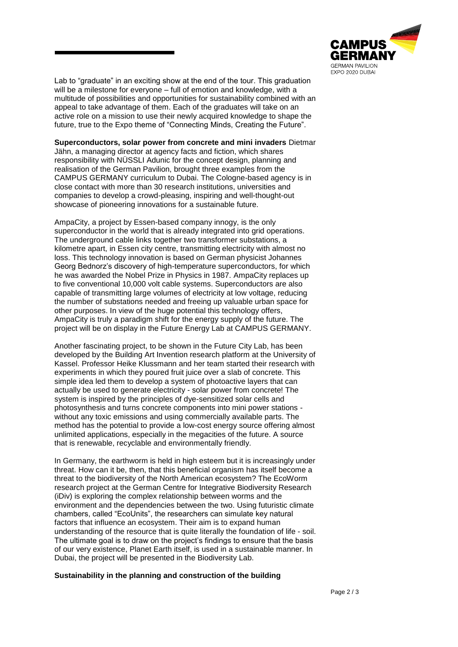

Lab to "graduate" in an exciting show at the end of the tour. This graduation will be a milestone for everyone – full of emotion and knowledge, with a multitude of possibilities and opportunities for sustainability combined with an appeal to take advantage of them. Each of the graduates will take on an active role on a mission to use their newly acquired knowledge to shape the future, true to the Expo theme of "Connecting Minds, Creating the Future".

**Superconductors, solar power from concrete and mini invaders** Dietmar Jähn, a managing director at agency facts and fiction, which shares responsibility with NÜSSLI Adunic for the concept design, planning and realisation of the German Pavilion, brought three examples from the CAMPUS GERMANY curriculum to Dubai. The Cologne-based agency is in close contact with more than 30 research institutions, universities and companies to develop a crowd-pleasing, inspiring and well-thought-out showcase of pioneering innovations for a sustainable future.

AmpaCity, a project by Essen-based company innogy, is the only superconductor in the world that is already integrated into grid operations. The underground cable links together two transformer substations, a kilometre apart, in Essen city centre, transmitting electricity with almost no loss. This technology innovation is based on German physicist Johannes Georg Bednorz's discovery of high-temperature superconductors, for which he was awarded the Nobel Prize in Physics in 1987. AmpaCity replaces up to five conventional 10,000 volt cable systems. Superconductors are also capable of transmitting large volumes of electricity at low voltage, reducing the number of substations needed and freeing up valuable urban space for other purposes. In view of the huge potential this technology offers, AmpaCity is truly a paradigm shift for the energy supply of the future. The project will be on display in the Future Energy Lab at CAMPUS GERMANY.

Another fascinating project, to be shown in the Future City Lab, has been developed by the Building Art Invention research platform at the University of Kassel. Professor Heike Klussmann and her team started their research with experiments in which they poured fruit juice over a slab of concrete. This simple idea led them to develop a system of photoactive layers that can actually be used to generate electricity - solar power from concrete! The system is inspired by the principles of dye-sensitized solar cells and photosynthesis and turns concrete components into mini power stations without any toxic emissions and using commercially available parts. The method has the potential to provide a low-cost energy source offering almost unlimited applications, especially in the megacities of the future. A source that is renewable, recyclable and environmentally friendly.

In Germany, the earthworm is held in high esteem but it is increasingly under threat. How can it be, then, that this beneficial organism has itself become a threat to the biodiversity of the North American ecosystem? The EcoWorm research project at the German Centre for Integrative Biodiversity Research (iDiv) is exploring the complex relationship between worms and the environment and the dependencies between the two. Using futuristic climate chambers, called "EcoUnits", the researchers can simulate key natural factors that influence an ecosystem. Their aim is to expand human understanding of the resource that is quite literally the foundation of life - soil. The ultimate goal is to draw on the project's findings to ensure that the basis of our very existence, Planet Earth itself, is used in a sustainable manner. In Dubai, the project will be presented in the Biodiversity Lab.

## **Sustainability in the planning and construction of the building**